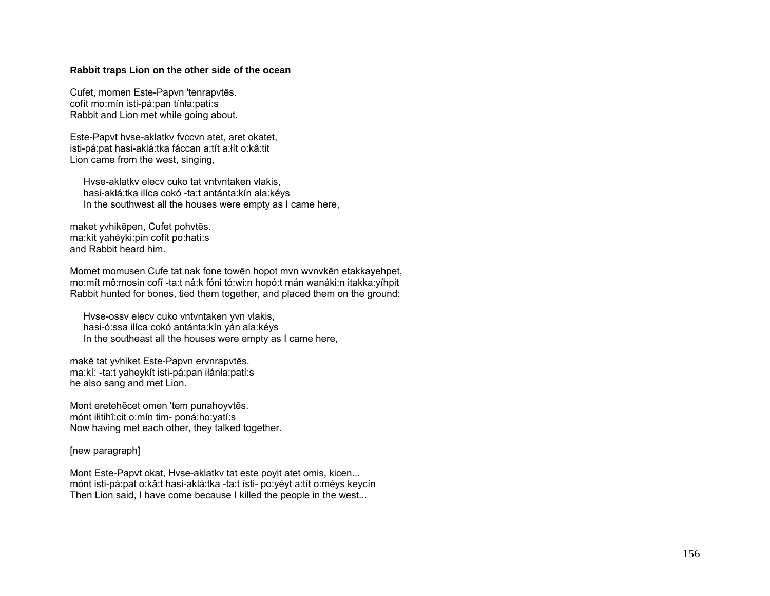## **Rabbit traps Lion on the other side of the ocean**

Cufet, momen Este-Papvn 'tenrapvt ēs. cofít mo:mín isti-pá:pan tínła:patí:s Rabbit and Lion met while going about.

Este-Papvt hvse-aklatkv fvccvn atet, aret okatet, isti-pá:pat hasi-aklá:tka fáccan a:tít a:łít o:kâ:tit Lion came from the west, singing,

 Hvse-aklatkv elecv cuko tat vntvntaken vlakis, hasi-aklá:tka ilíca cokó -ta:t antánta:kín ala:kéys In the southwest all the houses were empty as I came here,

maket yvhik ēpen, Cufet pohvt ēs. ma:kít yahéyki:pín cofít po:hatí:s and Rabbit heard him.

Momet momusen Cufe tat nak fone tow ēn hopot mvn wvnvk ēn etakkayehpet, mo:mít mô:mosin cofí -ta:t nâ:k fóni tó:wi:n hopó:t mán wanáki:n itakka:yíhpit Rabbit hunted for bones, tied them together, and placed them on the ground:

 Hvse-ossv elecv cuko vntvntaken yvn vlakis, hasi-ó:ssa ilíca cokó antánta:kín yán ala:kéys In the southeast all the houses were empty as I came here,

makē tat yvhiket Este-Papvn ervnrapvt ēs. ma:kí: -ta:t yaheykít isti-pá:pan iłánła:patí:s he also sang and met Lion.

Mont ereteh ēcet omen 'tem punahoyvt ēs. mónt iłitihî:cit o:mín tim- poná:ho:yatí:s Now having met each other, they talked together.

## [new paragraph]

Mont Este-Papvt okat, Hvse-aklatkv tat este poyit atet omis, kicen... mónt isti-pá:pat o:kâ:t hasi-aklá:tka -ta:t ísti- po:yéyt a:tít o:méys keycín Then Lion said, I have come because I killed the people in the west...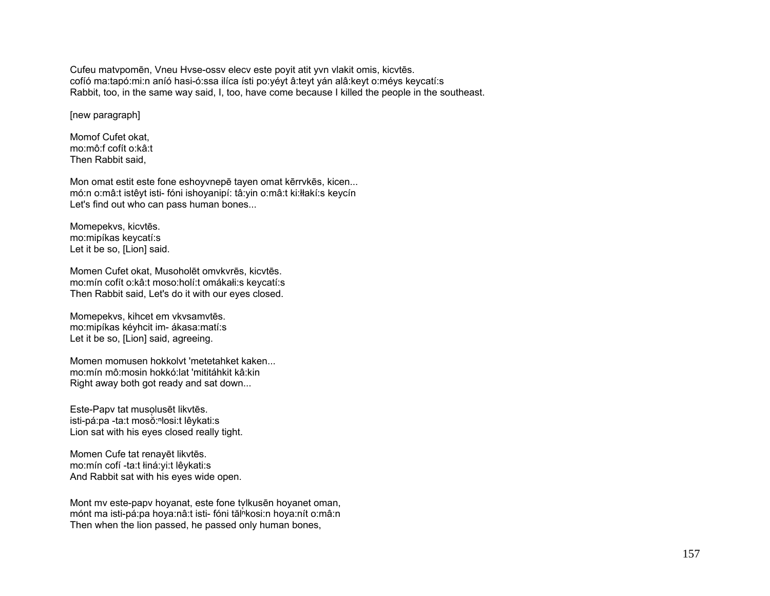Cufeu matvpomēn, Vneu Hvse-ossv elecv este poyit atit yvn vlakit omis, kicvtēs. cofíó ma:tapó:mi:n aníó hasi-ó:ssa ilíca ísti po:yéyt â:teyt yán alâ:keyt o:méys keycatí:s Rabbit, too, in the same way said, I, too, have come because I killed the people in the southeast.

[new paragraph]

Momof Cufet okat, mo:mô:f cofít o:kâ:t Then Rabbit said,

Mon omat estit este fone eshoyvnepē tayen omat kērrvkēs, kicen... mó:n o:mâ:t istêyt isti- fóni ishoyanipí: tâ:yin o:mâ:t ki:łłakí:s keycín Let's find out who can pass human bones...

Momepekvs, kicvtēs. mo:mipíkas keycatí:s Let it be so, [Lion] said.

Momen Cufet okat, Musoholēt omvkvrēs, kicvtēs. mo:mín cofít o:kâ:t moso:holí:t omákałi:s keycatí:s Then Rabbit said, Let's do it with our eyes closed.

Momepekvs, kihcet em vkvsamvtēs. mo:mipíkas kéyhcit im- ákasa:matí:s Let it be so, [Lion] said, agreeing.

Momen momusen hokkolvt 'metetahket kaken... mo:mín mô:mosin hokkó:lat 'mititáhkit kâ:kin Right away both got ready and sat down...

Este-Papv tat musolusēt likvtēs. isti-pá:pa -ta:t mosŏ:<sup>ⁿ</sup>losi:t lêykati:s Lion sat with his eyes closed really tight.

Momen Cufe tat renayēt likvtēs. mo:mín cofí -ta:t łiná:yi:t lêykati:s And Rabbit sat with his eyes wide open.

Mont my este-papy hoyanat, este fone tylkusēn hoyanet oman, mónt ma isti-pá:pa hoya:nâ:t isti- fóni tăl kosi:n hoya:nít o:mâ:n Then when the lion passed, he passed only human bones,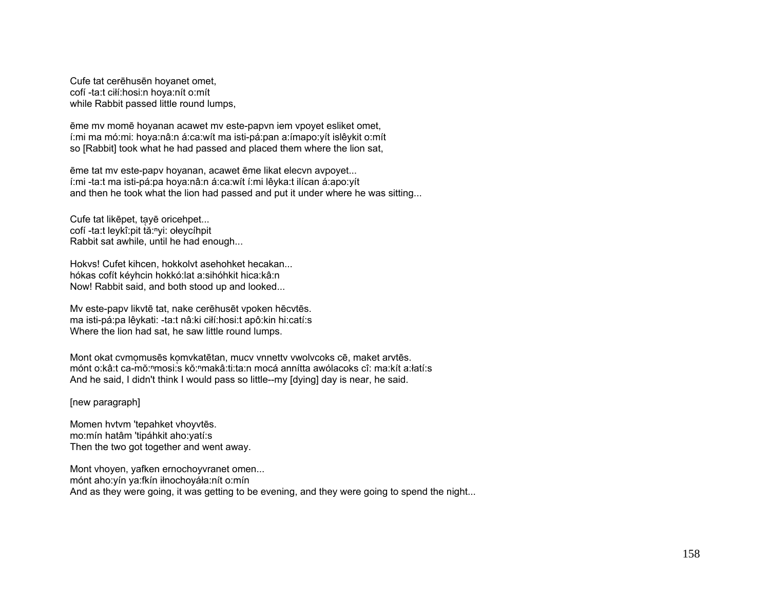Cufe tat cerēhusēn hoyanet omet, cofí -ta:t ciłí:hosi:n hoya:nít o:mít while Rabbit passed little round lumps,

ēme mv momē hoyanan acawet mv este-papvn iem vpoyet esliket omet, í:mi ma mó:mi: hoya:nâ:n á:ca:wít ma isti-pá:pan a:ímapo:yít islêykit o:mít so [Rabbit] took what he had passed and placed them where the lion sat,

ēme tat mv este-papv hoyanan, acawet ēme likat elecvn avpoyet... í:mi -ta:t ma isti-pá:pa hoya:nâ:n á:ca:wít í:mi lêyka:t ilícan á:apo:yít and then he took what the lion had passed and put it under where he was sitting...

Cufe tat likēpet, ta̜yē oricehpet... cofí -ta:t leykî:pit tă:<sup>n</sup>yi: ołeycíhpit Rabbit sat awhile, until he had enough...

Hokvs! Cufet kihcen, hokkolvt asehohket hecakan... hókas cofít kéyhcin hokkó:lat a:sihóhkit hica:kâ:n Now! Rabbit said, and both stood up and looked...

Mv este-papv likvtē tat, nake cerēhusēt vpoken hēcvtēs. ma isti-pá:pa lêykati: -ta:t nâ:ki ciłí:hosi:t apô:kin hi:catí:s Where the lion had sat, he saw little round lumps.

Mont okat cvmomusēs komvkatētan, mucv vnnettv vwolvcoks cē, maket arvtēs. mánt o:kâ:t ca-mŏ:ʰmɔsi:s kŏ:ʰmakâ:ti:ta:n mocá annítta awólacoks cî: ma:kít a:łatí:s And he said, I didn't think I would pass so little--my [dying] day is near, he said.

[new paragraph]

Momen hvtvm 'tepahket vhoyvtēs. mo:mín hatâm 'tipáhkit aho:yatí:s Then the two got together and went away.

Mont vhoyen, yafken ernochoyvranet omen... mónt aho:yín ya:fkín iłnochoyáła:nít o:mín And as they were going, it was getting to be evening, and they were going to spend the night...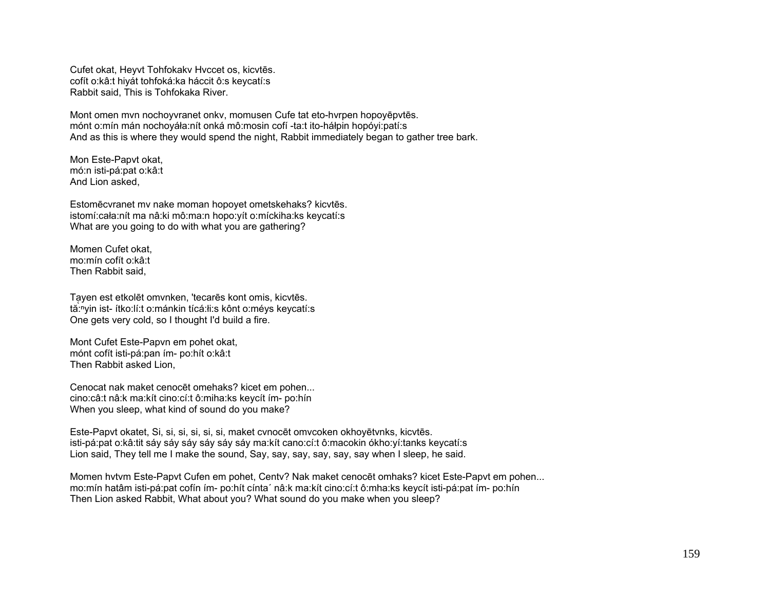Cufet okat, Heyvt Tohfokakv Hvccet os, kicvtēs. cofít o:kâ:t hiyát tohfoká:ka háccit ô:s keycatí:s Rabbit said, This is Tohfokaka River.

Mont omen mvn nochoyvranet onkv, momusen Cufe tat eto-hvrpen hopoyēpvtēs. mónt o:mín mán nochoyáła:nít onká mô:mosin cofí -ta:t ito-háłpin hopóyi:patí:s And as this is where they would spend the night, Rabbit immediately began to gather tree bark.

Mon Este-Papvt okat, mó:n isti-pá:pat o:kâ:t And Lion asked,

Estomēcvranet mv nake moman hopoyet ometskehaks? kicvtēs. istomí:cała:nít ma nâ:ki mô:ma:n hopo:yít o:míckiha:ks keycatí:s What are you going to do with what you are gathering?

Momen Cufet okat, mo:mín cofít o:kâ:t Then Rabbit said,

Ta̜yen est etkolēt omvnken, 'tecarēs kont omis, kicvtēs. tă:<sup>ⁿ</sup>yin ist- ítko:lí:t o:mánkin tícá:łi:s kônt o:méys keycatí:s One gets very cold, so I thought I'd build a fire.

Mont Cufet Este-Papvn em pohet okat, mónt cofít isti-pá:pan ím- po:hít o:kâ:t Then Rabbit asked Lion,

Cenocat nak maket cenocēt omehaks? kicet em pohen... cino:câ:t nâ:k ma:kít cino:cí:t ô:miha:ks keycít ím- po:hín When you sleep, what kind of sound do you make?

Este-Papvt okatet, Si, si, si, si, si, si, maket cvnocēt omvcoken okhoyētvnks, kicvtēs. isti-pá:pat o:kâ:tit sáy sáy sáy sáy sáy sáy ma:kít cano:cí:t ô:macokin ókho:yí:tanks keycatí:s Lion said, They tell me I make the sound, Say, say, say, say, say, say when I sleep, he said.

Momen hvtvm Este-Papvt Cufen em pohet, Centv? Nak maket cenocēt omhaks? kicet Este-Papvt em pohen... mo:mín hatâm isti-pá:pat cofín ím- po:hít cínta´ nâ:k ma:kít cino:cí:t ô:mha:ks keycít isti-pá:pat ím- po:hín Then Lion asked Rabbit, What about you? What sound do you make when you sleep?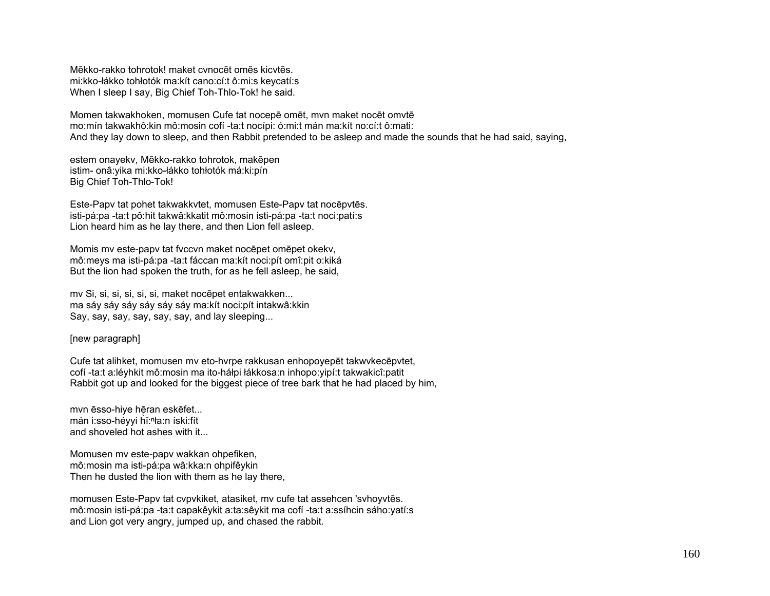Mēkko-rakko tohrotok! maket cvnocēt omēs kicvtēs. mi:kko-łákko tohłotók ma:kít cano:cí:t ô:mi:s keycatí:s When I sleep I say, Big Chief Toh-Thlo-Tok! he said.

Momen takwakhoken, momusen Cufe tat nocepē omēt, mvn maket nocēt omvtē mo:mín takwakhô:kin mô:mosin cofí -ta:t nocípi: ó:mi:t mán ma:kít no:cí:t ô:mati: And they lay down to sleep, and then Rabbit pretended to be asleep and made the sounds that he had said, saying,

estem onayekv, Mēkko-rakko tohrotok, makēpen istim- onâ:yika mi:kko-łákko tohłotók má:ki:pín Big Chief Toh-Thlo-Tok!

Este-Papv tat pohet takwakkvtet, momusen Este-Papv tat nocēpvtēs. isti-pá:pa -ta:t pô:hit takwâ:kkatit mô:mosin isti-pá:pa -ta:t noci:patí:s Lion heard him as he lay there, and then Lion fell asleep.

Momis mv este-papv tat fvccvn maket nocēpet omēpet okekv, mô:meys ma isti-pá:pa -ta:t fáccan ma:kít noci:pít omî:pit o:kiká But the lion had spoken the truth, for as he fell asleep, he said,

mv Si, si, si, si, si, si, maket nocēpet entakwakken... ma sáy sáy sáy sáy sáy sáy ma:kít noci:pít intakwâ:kkin Say, say, say, say, say, say, and lay sleeping...

## [new paragraph]

Cufe tat alihket, momusen mv eto-hvrpe rakkusan enhopoyepēt takwvkecēpvtet, cofí -ta:t a:léyhkit mô:mosin ma ito-háłpi łákkosa:n inhopo:yipí:t takwakicî:patit Rabbit got up and looked for the biggest piece of tree bark that he had placed by him,

mvn ēsso-hiye hēran eskēfet... mán i:sso-héyyi hĭ:ⁿła:n íski:fít and shoveled hot ashes with it...

Momusen mv este-papv wakkan ohpefiken, mô:mosin ma isti-pá:pa wâ:kka:n ohpifêykin Then he dusted the lion with them as he lay there,

momusen Este-Papv tat cvpvkiket, atasiket, mv cufe tat assehcen 'svhoyvtēs. mô:mosin isti-pá:pa -ta:t capakêykit a:ta:sêykit ma cofí -ta:t a:ssíhcin sáho:yatí:s and Lion got very angry, jumped up, and chased the rabbit.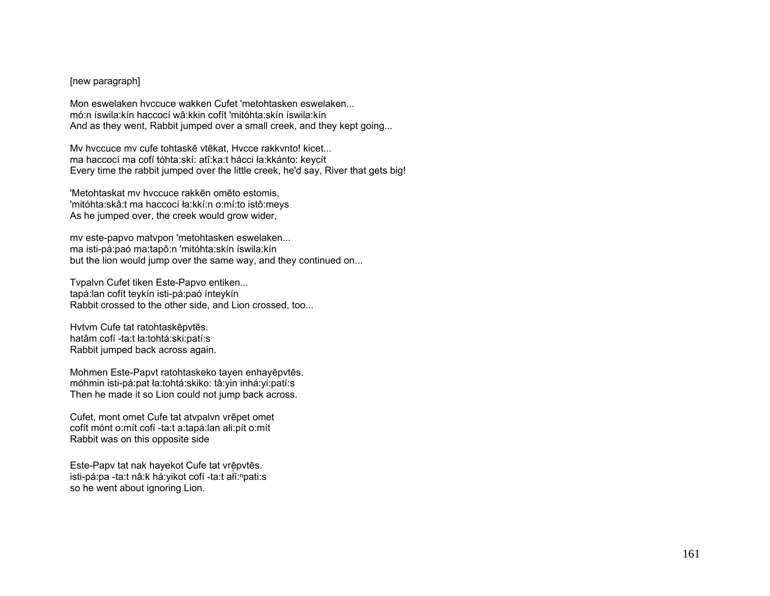## [new paragraph]

Mon eswelaken hvccuce wakken Cufet 'metohtasken eswelaken... mó:n íswila:kín haccocí wâ:kkin cofít 'mitóhta:skín íswila:kín And as they went, Rabbit jumped over a small creek, and they kept going...

Mv hvccuce mv cufe tohtaskē vtēkat, Hvcce rakkvnto! kicet... ma haccocí ma cofí tóhta:skí: atî:ka:t hácci ła:kkánto: keycít Every time the rabbit jumped over the little creek, he'd say, River that gets big!

'Metohtaskat mv hvccuce rakkēn omēto estomis, 'mitóhta:skâ:t ma haccocí ła:kkí:n o:mí:to istô:meys As he jumped over, the creek would grow wider,

mv este-papvo matvpon 'metohtasken eswelaken... ma isti-pá:paó ma:tapô:n 'mitóhta:skín íswila:kín but the lion would jump over the same way, and they continued on...

Tvpalvn Cufet tiken Este-Papvo entiken... tapá:lan cofít teykín isti-pá:paó ínteykín Rabbit crossed to the other side, and Lion crossed, too...

Hvtvm Cufe tat ratohtaskēpvtēs. hatâm cofí -ta:t ła:tohtá:ski:patí:s Rabbit jumped back across again.

Mohmen Este-Papvt ratohtaskeko tayen enhayēpvtēs. móhmin isti-pá:pat ła:tohtá:skiko: tâ:yin inhá:yi:patí:s Then he made it so Lion could not jump back across.

Cufet, mont omet Cufe tat atvpalvn vrēpet omet cofít mónt o:mít cofí -ta:t a:tapá:lan ałi:pít o:mít Rabbit was on this opposite side

Este-Papy tat nak hayekot Cufe tat vrēpvtēs. isti-pá:pa -ta:t nâ:k há:yikot cofí -ta:t alĭ:npati:s so he went about ignoring Lion.